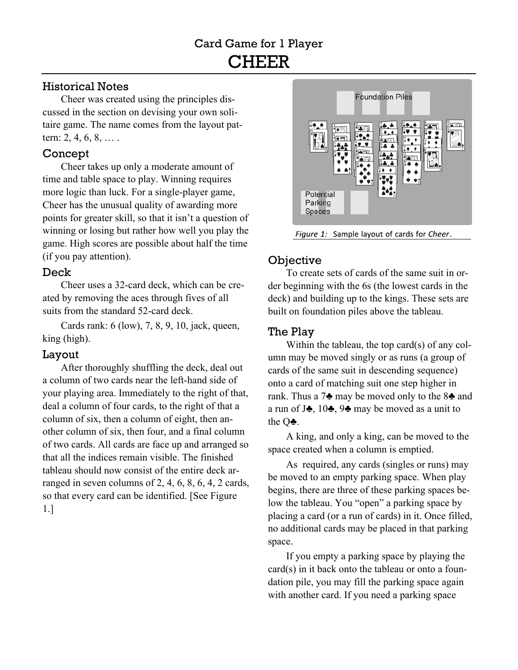## Historical Notes

Cheer was created using the principles discussed in the section on devising your own solitaire game. The name comes from the layout pattern: 2, 4, 6, 8, … .

## Concept

Cheer takes up only a moderate amount of time and table space to play. Winning requires more logic than luck. For a single-player game, Cheer has the unusual quality of awarding more points for greater skill, so that it isn't a question of winning or losing but rather how well you play the game. High scores are possible about half the time (if you pay attention).

## Deck

Cheer uses a 32-card deck, which can be created by removing the aces through fives of all suits from the standard 52-card deck.

Cards rank: 6 (low), 7, 8, 9, 10, jack, queen, king (high).

## Layout

After thoroughly shuffling the deck, deal out a column of two cards near the left-hand side of your playing area. Immediately to the right of that, deal a column of four cards, to the right of that a column of six, then a column of eight, then another column of six, then four, and a final column of two cards. All cards are face up and arranged so that all the indices remain visible. The finished tableau should now consist of the entire deck arranged in seven columns of 2, 4, 6, 8, 6, 4, 2 cards, so that every card can be identified. [See Figure 1.]



Figure 1: Sample layout of cards for Cheer.

# **Objective**

To create sets of cards of the same suit in order beginning with the 6s (the lowest cards in the deck) and building up to the kings. These sets are built on foundation piles above the tableau.

# The Play

Within the tableau, the top card(s) of any column may be moved singly or as runs (a group of cards of the same suit in descending sequence) onto a card of matching suit one step higher in rank. Thus a 7♣ may be moved only to the 8♣ and a run of J♣, 10♣, 9♣ may be moved as a unit to the Q♣.

A king, and only a king, can be moved to the space created when a column is emptied.

As required, any cards (singles or runs) may be moved to an empty parking space. When play begins, there are three of these parking spaces below the tableau. You "open" a parking space by placing a card (or a run of cards) in it. Once filled, no additional cards may be placed in that parking space.

If you empty a parking space by playing the card(s) in it back onto the tableau or onto a foundation pile, you may fill the parking space again with another card. If you need a parking space